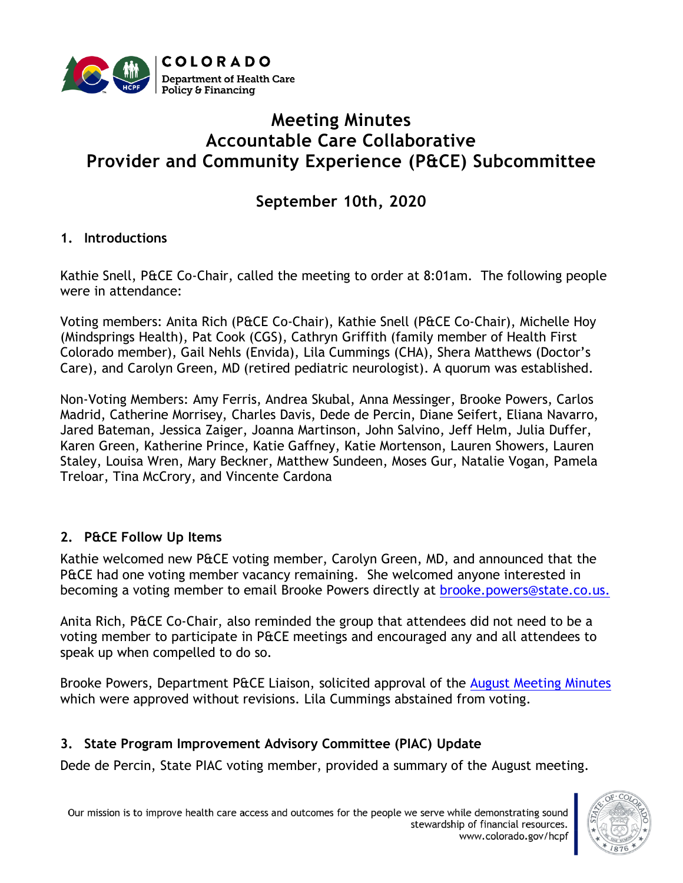

# **Meeting Minutes Accountable Care Collaborative Provider and Community Experience (P&CE) Subcommittee**

**September 10th, 2020**

#### **1. Introductions**

Kathie Snell, P&CE Co-Chair, called the meeting to order at 8:01am. The following people were in attendance:

Voting members: Anita Rich (P&CE Co-Chair), Kathie Snell (P&CE Co-Chair), Michelle Hoy (Mindsprings Health), Pat Cook (CGS), Cathryn Griffith (family member of Health First Colorado member), Gail Nehls (Envida), Lila Cummings (CHA), Shera Matthews (Doctor's Care), and Carolyn Green, MD (retired pediatric neurologist). A quorum was established.

Non-Voting Members: Amy Ferris, Andrea Skubal, Anna Messinger, Brooke Powers, Carlos Madrid, Catherine Morrisey, Charles Davis, Dede de Percin, Diane Seifert, Eliana Navarro, Jared Bateman, Jessica Zaiger, Joanna Martinson, John Salvino, Jeff Helm, Julia Duffer, Karen Green, Katherine Prince, Katie Gaffney, Katie Mortenson, Lauren Showers, Lauren Staley, Louisa Wren, Mary Beckner, Matthew Sundeen, Moses Gur, Natalie Vogan, Pamela Treloar, Tina McCrory, and Vincente Cardona

### **2. P&CE Follow Up Items**

Kathie welcomed new P&CE voting member, Carolyn Green, MD, and announced that the P&CE had one voting member vacancy remaining. She welcomed anyone interested in becoming a voting member to email Brooke Powers directly at [brooke.powers@state.co.us.](mailto:brooke.powers@state.co.us)

Anita Rich, P&CE Co-Chair, also reminded the group that attendees did not need to be a voting member to participate in P&CE meetings and encouraged any and all attendees to speak up when compelled to do so.

Brooke Powers, Department P&CE Liaison, solicited approval of the [August Meeting Minutes](https://www.colorado.gov/pacific/sites/default/files/Accountable%20Care%20Collaborative%20Provider%20and%20Experience%20PIAC%20Subcommittee%20Minutes%20August%202020.xlsx.pdf) which were approved without revisions. Lila Cummings abstained from voting.

### **3. State Program Improvement Advisory Committee (PIAC) Update**

Dede de Percin, State PIAC voting member, provided a summary of the August meeting.

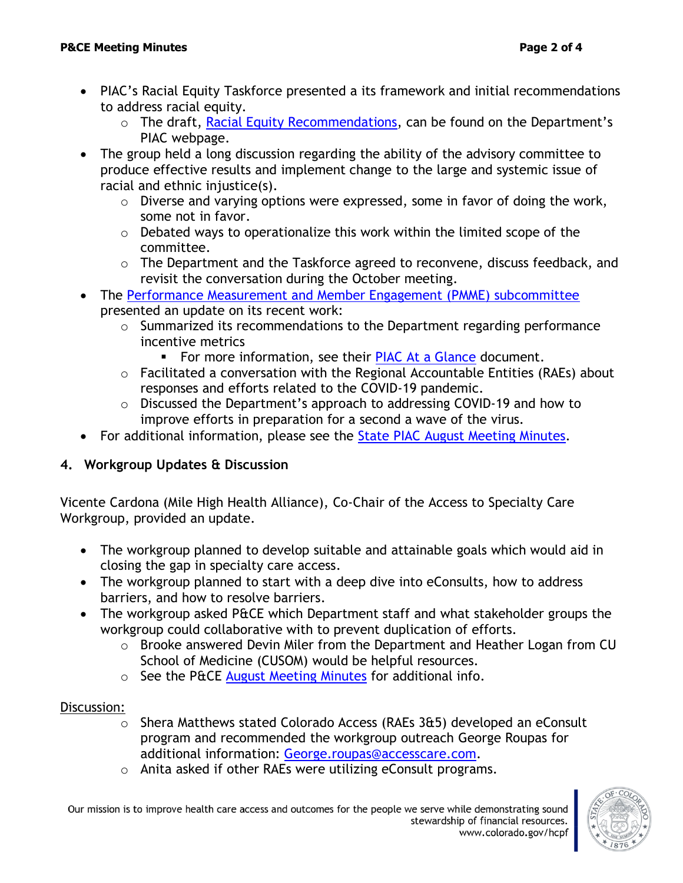- PIAC's Racial Equity Taskforce presented a its framework and initial recommendations to address racial equity.
	- o The draft, [Racial Equity Recommendations,](https://www.colorado.gov/pacific/sites/default/files/Accountable%20Care%20Collaborative%20Program%20Improvement%20Advisory%20Committee%20Racial%20Equity%20Handout%20August%202020.pdf) can be found on the Department's PIAC webpage.
- The group held a long discussion regarding the ability of the advisory committee to produce effective results and implement change to the large and systemic issue of racial and ethnic injustice(s).
	- $\circ$  Diverse and varying options were expressed, some in favor of doing the work, some not in favor.
	- $\circ$  Debated ways to operationalize this work within the limited scope of the committee.
	- o The Department and the Taskforce agreed to reconvene, discuss feedback, and revisit the conversation during the October meeting.
- The [Performance Measurement and Member Engagement \(PMME\) subcommittee](https://www.colorado.gov/pacific/hcpf/performance-measurement-and-member-engagement) presented an update on its recent work:
	- o Summarized its recommendations to the Department regarding performance incentive metrics
		- For more information, see their [PIAC At a Glance](https://www.colorado.gov/pacific/sites/default/files/Accountable%20Care%20Collaborative%20Program%20Improvement%20Advisory%20Committee%20At%20a%20Glance%20Handout%20August%202020.pdf) document.
	- $\circ$  Facilitated a conversation with the Regional Accountable Entities (RAEs) about responses and efforts related to the COVID-19 pandemic.
	- o Discussed the Department's approach to addressing COVID-19 and how to improve efforts in preparation for a second a wave of the virus.
- For additional information, please see the [State PIAC August Meeting Minutes.](https://www.colorado.gov/pacific/sites/default/files/Accountable%20Care%20Collaborative%20Program%20Improvement%20Advisory%20Committee%20Minutes%20August%202020.pdf)

### **4. Workgroup Updates & Discussion**

Vicente Cardona (Mile High Health Alliance), Co-Chair of the Access to Specialty Care Workgroup, provided an update.

- The workgroup planned to develop suitable and attainable goals which would aid in closing the gap in specialty care access.
- The workgroup planned to start with a deep dive into eConsults, how to address barriers, and how to resolve barriers.
- The workgroup asked P&CE which Department staff and what stakeholder groups the workgroup could collaborative with to prevent duplication of efforts.
	- o Brooke answered Devin Miler from the Department and Heather Logan from CU School of Medicine (CUSOM) would be helpful resources.
	- $\circ$  See the P&CE [August Meeting Minutes](https://www.colorado.gov/pacific/sites/default/files/Accountable%20Care%20Collaborative%20Provider%20and%20Experience%20PIAC%20Subcommittee%20Minutes%20August%202020.xlsx.pdf) for additional info.

#### Discussion:

- $\circ$  Shera Matthews stated Colorado Access (RAEs 3&5) developed an eConsult program and recommended the workgroup outreach George Roupas for additional information: [George.roupas@accesscare.com.](mailto:George.roupas@accesscare.com)
- o Anita asked if other RAEs were utilizing eConsult programs.

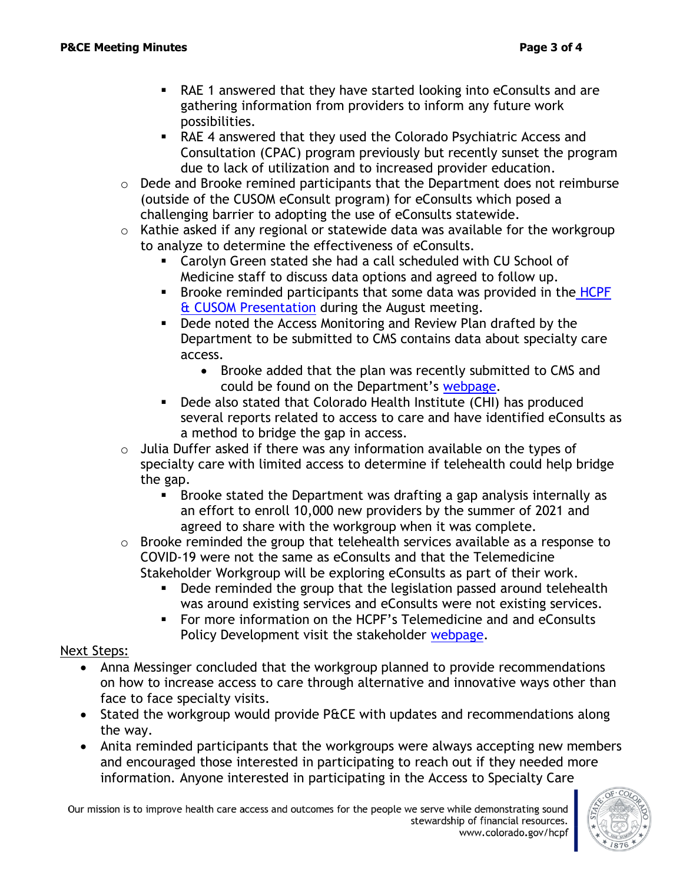- RAE 1 answered that they have started looking into eConsults and are gathering information from providers to inform any future work possibilities.
- RAE 4 answered that they used the Colorado Psychiatric Access and Consultation (CPAC) program previously but recently sunset the program due to lack of utilization and to increased provider education.
- o Dede and Brooke remined participants that the Department does not reimburse (outside of the CUSOM eConsult program) for eConsults which posed a challenging barrier to adopting the use of eConsults statewide.
- $\circ$  Kathie asked if any regional or statewide data was available for the workgroup to analyze to determine the effectiveness of eConsults.
	- Carolyn Green stated she had a call scheduled with CU School of Medicine staff to discuss data options and agreed to follow up.
	- **EXECT** Brooke reminded participants that some data was provided in the HCPF [& CUSOM Presentation](https://www.colorado.gov/pacific/sites/default/files/Provider%20and%20Community%20Experience%20PIAC%20Subcommittee%20HCPF%20and%20CU%20School%20of%20Medicine%20Interagency%20Agreement%20PowerPoint%20August%202020.pdf) during the August meeting.
	- Dede noted the Access Monitoring and Review Plan drafted by the Department to be submitted to CMS contains data about specialty care access.
		- Brooke added that the plan was recently submitted to CMS and could be found on the Department's [webpage.](https://www.colorado.gov/pacific/sites/default/files/2019%20Access%20Monitoring%20Review%20Plan%20-%20Colorado%20September%202020.pdf)
	- Dede also stated that Colorado Health Institute (CHI) has produced several reports related to access to care and have identified eConsults as a method to bridge the gap in access.
- $\circ$  Julia Duffer asked if there was any information available on the types of specialty care with limited access to determine if telehealth could help bridge the gap.
	- Brooke stated the Department was drafting a gap analysis internally as an effort to enroll 10,000 new providers by the summer of 2021 and agreed to share with the workgroup when it was complete.
- o Brooke reminded the group that telehealth services available as a response to COVID-19 were not the same as eConsults and that the Telemedicine Stakeholder Workgroup will be exploring eConsults as part of their work.
	- Dede reminded the group that the legislation passed around telehealth was around existing services and eConsults were not existing services.
	- For more information on the HCPF's Telemedicine and and eConsults Policy Development visit the stakeholder [webpage.](https://www.colorado.gov/pacific/hcpf/stakeholder-telemedicine)

### Next Steps:

- Anna Messinger concluded that the workgroup planned to provide recommendations on how to increase access to care through alternative and innovative ways other than face to face specialty visits.
- Stated the workgroup would provide P&CE with updates and recommendations along the way.
- Anita reminded participants that the workgroups were always accepting new members and encouraged those interested in participating to reach out if they needed more information. Anyone interested in participating in the Access to Specialty Care